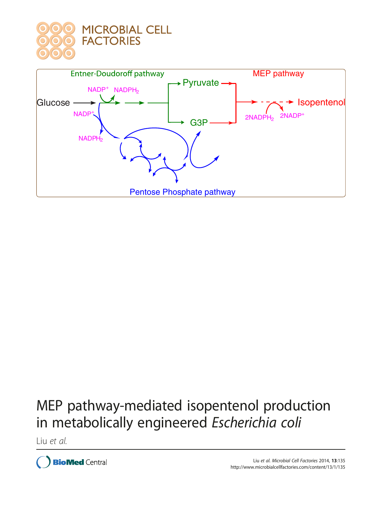



# MEP pathway-mediated isopentenol production in metabolically engineered Escherichia coli

Liu et al.

**BioMed Central**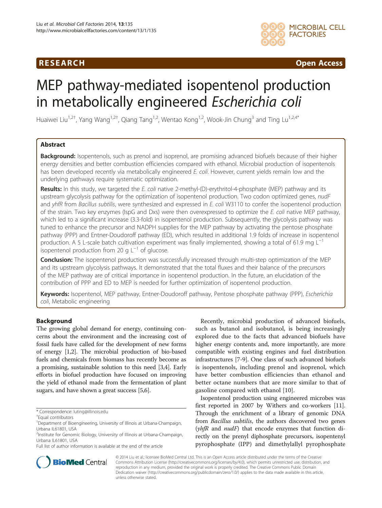## **RESEARCH RESEARCH CONSUMING ACCESS**



## MEP pathway-mediated isopentenol production in metabolically engineered Escherichia coli

Huaiwei Liu<sup>1,2†</sup>, Yang Wang<sup>1,2†</sup>, Qiang Tang<sup>1,2</sup>, Wentao Kong<sup>1,2</sup>, Wook-Jin Chung<sup>3</sup> and Ting Lu<sup>1,2,4\*</sup>

## Abstract

**Background:** Isopentenols, such as prenol and isoprenol, are promising advanced biofuels because of their higher energy densities and better combustion efficiencies compared with ethanol. Microbial production of isopentenols has been developed recently via metabolically engineered E. coli. However, current yields remain low and the underlying pathways require systematic optimization.

Results: In this study, we targeted the E. coli native 2-methyl-(D)-erythritol-4-phosphate (MEP) pathway and its upstream glycolysis pathway for the optimization of isopentenol production. Two codon optimized genes, nudF and yhfR from Bacillus subtilis, were synthesized and expressed in E. coli W3110 to confer the isopentenol production of the strain. Two key enzymes (IspG and Dxs) were then overexpressed to optimize the E. coli native MEP pathway, which led to a significant increase (3.3-fold) in isopentenol production. Subsequently, the glycolysis pathway was tuned to enhance the precursor and NADPH supplies for the MEP pathway by activating the pentose phosphate pathway (PPP) and Entner-Doudoroff pathway (ED), which resulted in additional 1.9 folds of increase in isopentenol production. A 5 L-scale batch cultivation experiment was finally implemented, showing a total of 61.9 mg L<sup>-1</sup> isopentenol production from 20 g  $L^{-1}$  of glucose.

Conclusion: The isopentenol production was successfully increased through multi-step optimization of the MEP and its upstream glycolysis pathways. It demonstrated that the total fluxes and their balance of the precursors of the MEP pathway are of critical importance in isopentenol production. In the future, an elucidation of the contribution of PPP and ED to MEP is needed for further optimization of isopentenol production.

Keywords: Isopentenol, MEP pathway, Entner-Doudoroff pathway, Pentose phosphate pathway (PPP), Escherichia coli, Metabolic engineering

## Background

The growing global demand for energy, continuing concerns about the environment and the increasing cost of fossil fuels have called for the development of new forms of energy [\[1,2\]](#page-6-0). The microbial production of bio-based fuels and chemicals from biomass has recently become as a promising, sustainable solution to this need [[3,4\]](#page-7-0). Early efforts in biofuel production have focused on improving the yield of ethanol made from the fermentation of plant sugars, and have shown a great success [\[5,6\]](#page-7-0).

Recently, microbial production of advanced biofuels, such as butanol and isobutanol, is being increasingly explored due to the facts that advanced biofuels have higher energy contents and, more importantly, are more compatible with existing engines and fuel distribution infrastructures [[7-9\]](#page-7-0). One class of such advanced biofuels is isopentenols, including prenol and isoprenol, which have better combustion efficiencies than ethanol and better octane numbers that are more similar to that of gasoline compared with ethanol [\[10](#page-7-0)].

Isopentenol production using engineered microbes was first reported in 2007 by Withers and co-workers [[11](#page-7-0)]. Through the enrichment of a library of genomic DNA from Bacillus subtilis, the authors discovered two genes  $(yh\text{fR}$  and  $nu\text{dF})$  that encode enzymes that function directly on the prenyl diphosphate precursors, isopentenyl pyrophosphate (IPP) and dimethylallyl pyrophosphate



© 2014 Liu et al.; licensee BioMed Central Ltd. This is an Open Access article distributed under the terms of the Creative Commons Attribution License [\(http://creativecommons.org/licenses/by/4.0\)](http://creativecommons.org/licenses/by/4.0), which permits unrestricted use, distribution, and reproduction in any medium, provided the original work is properly credited. The Creative Commons Public Domain Dedication waiver [\(http://creativecommons.org/publicdomain/zero/1.0/](http://creativecommons.org/publicdomain/zero/1.0/)) applies to the data made available in this article, unless otherwise stated.

<sup>\*</sup> Correspondence: [luting@illinois.edu](mailto:luting@illinois.edu) †

Equal contributors

<sup>&</sup>lt;sup>1</sup>Department of Bioengineering, University of Illinois at Urbana-Champaign, Urbana IL61801, USA

<sup>&</sup>lt;sup>2</sup>Institute for Genomic Biology, University of Illinois at Urbana-Champaign, Urbana IL61801, USA

Full list of author information is available at the end of the article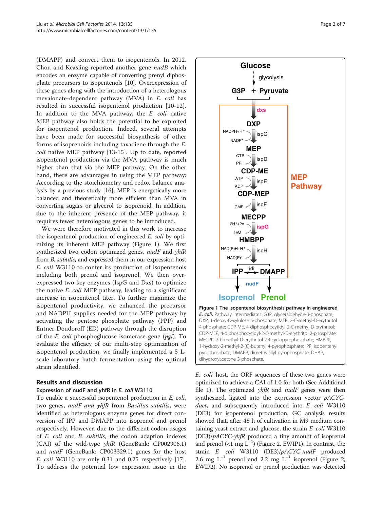<span id="page-2-0"></span>(DMAPP) and convert them to isopentenols. In 2012, Chou and Keasling reported another gene nudB which encodes an enzyme capable of converting prenyl diphosphate precursors to isopentenols [[10](#page-7-0)]. Overexpression of these genes along with the introduction of a heterologous mevalonate-dependent pathway (MVA) in E. coli has resulted in successful isopentenol production [\[10-12](#page-7-0)]. In addition to the MVA pathway, the E. coli native MEP pathway also holds the potential to be exploited for isopentenol production. Indeed, several attempts have been made for successful biosynthesis of other forms of isoprenoids including taxadiene through the E. coli native MEP pathway [[13-15](#page-7-0)]. Up to date, reported isopentenol production via the MVA pathway is much higher than that via the MEP pathway. On the other hand, there are advantages in using the MEP pathway: According to the stoichiometry and redox balance analysis by a previous study [\[16\]](#page-7-0), MEP is energetically more balanced and theoretically more efficient than MVA in converting sugars or glycerol to isoprenoid. In addition, due to the inherent presence of the MEP pathway, it requires fewer heterologous genes to be introduced.

We were therefore motivated in this work to increase the isopentenol production of engineered E. coli by optimizing its inherent MEP pathway (Figure 1). We first synthesized two codon optimized genes, nudF and yhfR from B. subtilis, and expressed them in our expression host E. coli W3110 to confer its production of isopentenols including both prenol and isoprenol. We then overexpressed two key enzymes (IspG and Dxs) to optimize the native E. coli MEP pathway, leading to a significant increase in isopentenol titer. To further maximize the isopentenol productivity, we enhanced the precursor and NADPH supplies needed for the MEP pathway by activating the pentose phosphate pathway (PPP) and Entner-Doudoroff (ED) pathway through the disruption of the *E. coli* phosphoglucose isomerase gene  $(pgi)$ . To evaluate the efficacy of our multi-step optimization of isopentenol production, we finally implemented a 5 Lscale laboratory batch fermentation using the optimal strain identified.

## Results and discussion

## Expression of nudF and yhfR in E. coli W3110

To enable a successful isopentenol production in E. coli, two genes, *nudF and yhfR* from *Bacillus subtilis*, were identified as heterologous enzyme genes for direct conversion of IPP and DMAPP into isoprenol and prenol respectively. However, due to the different codon usages of E. coli and B. subtilis, the codon adaption indexes (CAI) of the wild-type yhfR (GeneBank: CP002906.1) and *nudF* (GeneBank: CP003329.1) genes for the host E. coli W3110 are only 0.31 and 0.25 respectively [\[17](#page-7-0)]. To address the potential low expression issue in the



E. coli host, the ORF sequences of these two genes were optimized to achieve a CAI of 1.0 for both (See Additional file [1](#page-6-0)). The optimized  $yhfR$  and  $nudF$  genes were then synthesized, ligated into the expression vector pACYCduet, and subsequently introduced into E. coli W3110 (DE3) for isopentenol production. GC analysis results showed that, after 48 h of cultivation in M9 medium containing yeast extract and glucose, the strain  $E$ .  $\text{coli W3110}$  $(DE3)/pACYC\text{-}yhfR$  produced a tiny amount of isoprenol and prenol (<1 mg  $L^{-1}$ ) (Figure [2](#page-3-0), EWIP1). In contrast, the strain E. coli W3110 (DE3)/pACYC-nudF produced 2.6 mg L<sup>-1</sup> prenol and [2](#page-3-0).2 mg L<sup>-1</sup> isoprenol (Figure 2, EWIP2). No isoprenol or prenol production was detected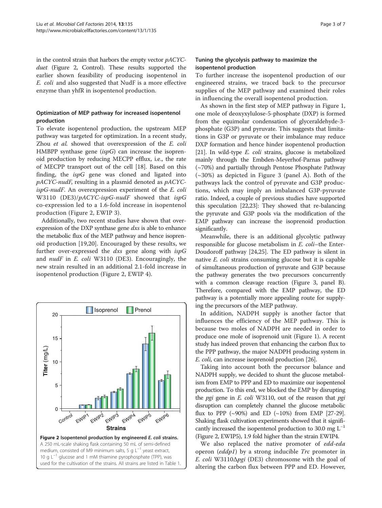<span id="page-3-0"></span>in the control strain that harbors the empty vector pACYCduet (Figure 2, Control). These results supported the earlier shown feasibility of producing isopentenol in E. coli and also suggested that NudF is a more effective enzyme than yhfR in isopentenol production.

## Optimization of MEP pathway for increased isopentenol production

To elevate isopentenol production, the upstream MEP pathway was targeted for optimization. In a recent study, Zhou et al. showed that overexpression of the E. coli HMBPP synthase gene  $(ispG)$  can increase the isoprenoid production by reducing MECPP efflux, i.e., the rate of MECPP transport out of the cell [\[18](#page-7-0)]. Based on this finding, the  $ispG$  gene was cloned and ligated into pACYC-nudF, resulting in a plasmid denoted as pACYCispG-nudF. An overexpression experiment of the E. coli W3110 (DE3)/pACYC-ispG-nudF showed that ispG co-expression led to a 1.6-fold increase in isopentenol production (Figure 2, EWIP 3).

Additionally, two recent studies have shown that overexpression of the DXP synthase gene dxs is able to enhance the metabolic flux of the MEP pathway and hence isoprenoid production [[19,20\]](#page-7-0). Encouraged by these results, we further over-expressed the *dxs* gene along with  $ispG$ and  $nudF$  in E. coli W3110 (DE3). Encouragingly, the new strain resulted in an additional 2.1-fold increase in isopentenol production (Figure 2, EWIP 4).



## Tuning the glycolysis pathway to maximize the isopentenol production

To further increase the isopentenol production of our engineered strains, we traced back to the precursor supplies of the MEP pathway and examined their roles in influencing the overall isopentenol production.

As shown in the first step of MEP pathway in Figure [1](#page-2-0), one mole of deoxyxylulose-5-phosphate (DXP) is formed from the equimolar condensation of glyceraldehyde-3 phosphate (G3P) and pyruvate. This suggests that limitations in G3P or pyruvate or their imbalance may reduce DXP formation and hence hinder isopentenol production [[21](#page-7-0)]. In wild-type *E. coli* strains, glucose is metabolized mainly through the Embden-Meyerhof-Parnas pathway (~70%) and partially through Pentose Phosphate Pathway  $(\sim 30\%)$  $(\sim 30\%)$  $(\sim 30\%)$  as depicted in Figure 3 (panel A). Both of the pathways lack the control of pyruvate and G3P productions, which may imply an imbalanced G3P-pyruvate ratio. Indeed, a couple of previous studies have supported this speculation [\[22,23\]](#page-7-0): They showed that re-balancing the pyruvate and G3P pools via the modification of the EMP pathway can increase the isoprenoid production significantly.

Meanwhile, there is an additional glycolytic pathway responsible for glucose metabolism in E. coli–the Enter-Doudoroff pathway [\[24,25\]](#page-7-0). The ED pathway is silent in native E. coli strains consuming glucose but it is capable of simultaneous production of pyruvate and G3P because the pathway generates the two precursors concurrently with a common cleavage reaction (Figure [3](#page-4-0), panel B). Therefore, compared with the EMP pathway, the ED pathway is a potentially more appealing route for supplying the precursors of the MEP pathway.

In addition, NADPH supply is another factor that influences the efficiency of the MEP pathway. This is because two moles of NADPH are needed in order to produce one mole of isoprenoid unit (Figure [1\)](#page-2-0). A recent study has indeed proven that enhancing the carbon flux to the PPP pathway, the major NADPH producing system in E. coli, can increase isoprenoid production [[26](#page-7-0)].

Taking into account both the precursor balance and NADPH supply, we decided to shunt the glucose metabolism from EMP to PPP and ED to maximize our isopentenol production. To this end, we blocked the EMP by disrupting the *pgi* gene in *E. coli* W3110, out of the reason that *pgi* disruption can completely channel the glucose metabolic flux to PPP (~90%) and ED (~10%) from EMP [\[27-29](#page-7-0)]. Shaking flask cultivation experiments showed that it significantly increased the isopentenol production to 30.0 mg  $L^{-1}$ (Figure 2, EWIP5), 1.9 fold higher than the strain EWIP4.

We also replaced the native promoter of edd-eda operon (eddp1) by a strong inducible Trc promoter in E. coli W3110 $\Delta$ pgi (DE3) chromosome with the goal of altering the carbon flux between PPP and ED. However,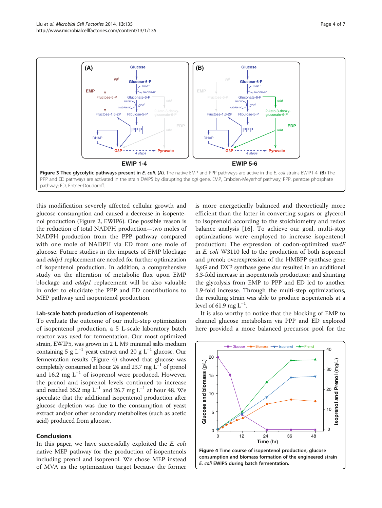<span id="page-4-0"></span>

this modification severely affected cellular growth and glucose consumption and caused a decrease in isopentenol production (Figure [2,](#page-3-0) EWIP6). One possible reason is the reduction of total NADPH production—two moles of NADPH production from the PPP pathway compared with one mole of NADPH via ED from one mole of glucose. Future studies in the impacts of EMP blockage and eddp1 replacement are needed for further optimization of isopentenol production. In addition, a comprehensive study on the alteration of metabolic flux upon EMP blockage and eddp1 replacement will be also valuable in order to elucidate the PPP and ED contributions to MEP pathway and isopentenol production.

#### Lab-scale batch production of isopentenols

To evaluate the outcome of our multi-step optimization of isopentenol production, a 5 L-scale laboratory batch reactor was used for fermentation. Our most optimized strain, EWIP5, was grown in 2 L M9 minimal salts medium containing 5 g  $L^{-1}$  yeast extract and 20 g  $L^{-1}$  glucose. Our fermentation results (Figure 4) showed that glucose was completely consumed at hour 24 and 23.7 mg L−<sup>1</sup> of prenol and 16.2 mg  $L^{-1}$  of isoprenol were produced. However, the prenol and isoprenol levels continued to increase and reached 35.2 mg L<sup>-1</sup> and 26.7 mg L<sup>-1</sup> at hour 48. We speculate that the additional isopentenol production after glucose depletion was due to the consumption of yeast extract and/or other secondary metabolites (such as acetic acid) produced from glucose.

### Conclusions

In this paper, we have successfully exploited the E. coli native MEP pathway for the production of isopentenols including prenol and isoprenol. We chose MEP instead of MVA as the optimization target because the former is more energetically balanced and theoretically more efficient than the latter in converting sugars or glycerol to isoprenoid according to the stoichiometry and redox balance analysis [[16\]](#page-7-0). To achieve our goal, multi-step optimizations were employed to increase isopentenol production: The expression of codon-optimized nudF in E. coli W3110 led to the production of both isoprenol and prenol; overexpression of the HMBPP synthase gene  $ispG$  and DXP synthase gene  $dx$ s resulted in an additional 3.3-fold increase in isopentenols production; and shunting the glycolysis from EMP to PPP and ED led to another 1.9-fold increase. Through the multi-step optimizations, the resulting strain was able to produce isopentenols at a level of 61.9 mg  $L^{-1}$ .

It is also worthy to notice that the blocking of EMP to channel glucose metabolism via PPP and ED explored here provided a more balanced precursor pool for the



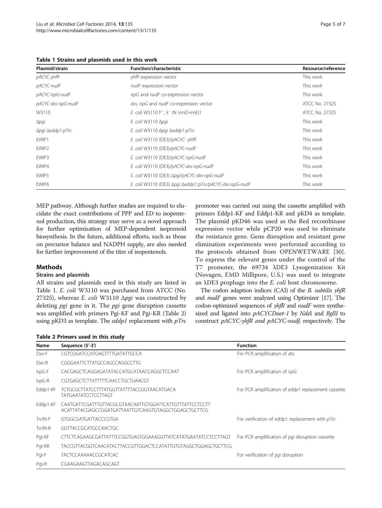<span id="page-5-0"></span>Table 1 Strains and plasmids used in this work

| Plasmid/strain      | <b>Function/characteristic</b>                                        | Resource/reference |
|---------------------|-----------------------------------------------------------------------|--------------------|
| pACYC-yhfR          | yhfR expression vector                                                | This work          |
| pACYC-nudF          | nudF expression vector                                                | This work          |
| pACYC-ispG-nudF     | ispG and nudF co-expression vector                                    | This work          |
| pACYC-dxs-ispG-nudF | dxs, ispG and nudF co-expression vector                               | ATCC No. 27325     |
| W3110               | E. coli W3110 F <sup>-</sup> , $\lambda$ <sup>-</sup> IN (rrnD-rrnE)1 | ATCC No. 27325     |
| $\Delta$ pgi        | E. coli W3110 $\Delta$ pgi                                            | This work          |
| Δpqi Δeddp1::pTrc   | E. coli W3110 ∆pgi ∆eddp1::pTrc                                       | This work          |
| EWIP1               | E. coli W3110 (DE3)/pACYC- yhfR                                       | This work          |
| EWIP <sub>2</sub>   | E. coli W3110 (DE3)/pACYC-nudF                                        | This work          |
| EWIP3               | E. coli W3110 (DE3)/pACYC-ispG-nudF                                   | This work          |
| EWIP4               | E. coli W3110 (DE3)/pACYC-dxs-ispG-nudF                               | This work          |
| EWIP5               | E. coli W3110 (DE3) Apgi/pACYC-dxs-ispG-nudF                          | This work          |
| EWIP6               | E. coli W3110 (DE3) Apgi Aeddp1::pTrc/pACYC-dxs-ispG-nudF             | This work          |

MEP pathway. Although further studies are required to elucidate the exact contributions of PPP and ED to isopentenol production, this strategy may serve as a novel approach for further optimization of MEP-dependent isoprenoid biosynthesis. In the future, additional efforts, such as those on precursor balance and NADPH supply, are also needed for further improvement of the titer of isopentenols.

## Methods

### Strains and plasmids

All strains and plasmids used in this study are listed in Table 1. E. coli W3110 was purchased from ATCC (No. 27325), whereas E. coli W3110  $\Delta pgi$  was constructed by deleting pgi gene in it. The pgi gene disruption cassette was amplified with primers Pgi-KF and Pgi-KR (Table 2) using pKD3 as template. The *eddp1* replacement with  $pTrc$ 

promoter was carried out using the cassette amplified with primers Eddp1-KF and Eddp1-KR and pKD4 as template. The plasmid pKD46 was used as the Red recombinase expression vector while pCP20 was used to eliminate the resistance gene. Gene disruption and resistant gene elimination experiments were performed according to the protocols obtained from OPENWETWARE [\[30](#page-7-0)]. To express the relevant genes under the control of the T7 promoter, the 69734 λDE3 Lysogenization Kit (Novagen, EMD Millipore, U.S.) was used to integrate an  $\triangle$ DE3 prophage into the *E. coli* host chromosome.

The codon adaption indices (CAI) of the B. subtilis yhfR and *nudF* genes were analyzed using Optimizer [[17\]](#page-7-0). The codon-optimized sequences of yhfR and nudF were synthesized and ligated into pACYCDuet-1 by NdeI and BglII to construct pACYC-yhfR and pACYC-nudf, respectively. The

|  | Table 2 Primers used in this study |  |  |
|--|------------------------------------|--|--|
|--|------------------------------------|--|--|

| Name     | Sequence (5'-3')                                                                                                | <b>Function</b>                                     |
|----------|-----------------------------------------------------------------------------------------------------------------|-----------------------------------------------------|
| Dxs-F    | CGTCGGATCCATGAGTTTTGATATTGCCA                                                                                   | For PCR amplification of dxs                        |
| Dxs-R    | CGGGAATTCTTATGCCAGCCAGGCCTTG                                                                                    |                                                     |
| IspG-F   | CACGAGCTCAGGAGATATACCATGCATAACCAGGCTCCAAT                                                                       | For PCR amplification of ispG                       |
| $IspG-R$ | CGTGAGCTCTTATTTTTCAACCTGCTGAACGT                                                                                |                                                     |
| Eddp1-KF | TCTGCGCTTATCCTTTATGGTTATTTTACCGGTAACATGACA<br><b>TATGAATATCCTCCTTAGT</b>                                        | For PCR amplification of eddp1 replacement cassette |
| Eddp1-KF | CAATGATTCGATTTGTTACGCGTAACAATTGTGGATTCATTGTTTATTCCTCCTT<br>ACATTATACGAGCCGGATGATTAATTGTCAAGTGTAGGCTGGAGCTGCTTCG |                                                     |
| TrcIN-F  | GTGGCGATGATTACCCGTGA                                                                                            | For verification of eddp1 replacement with pTrc     |
| TrcIN-R  | GGTTACCGCATGCCAACTGC                                                                                            |                                                     |
| Pgi-KF   | CTTCTCAGAAGCGATTATTTCCGGTGAGTGGAAAGGTTATCATATGAATATCCTCCTTAGT                                                   | For PCR amplification of pai disruption cassette    |
| Pgi-KR   | TACCGTTACGGTCAACATACTTACCGTTGGACTCCATATTGTGTAGGCTGGAGCTGCTTCG                                                   |                                                     |
| Pgi-F    | <b>TACTCCAAAAACCGCATCAC</b>                                                                                     | For verification of pgi disruption                  |
| Pgi-R    | CGAAGAAGTTAGACAGCAGT                                                                                            |                                                     |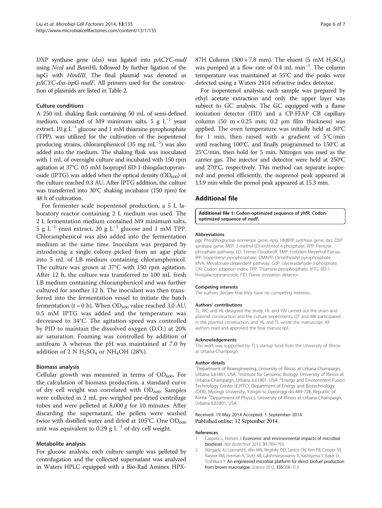<span id="page-6-0"></span>DXP synthase gene  $(dxs)$  was ligated into  $pACYC$ -nudf using NcoI and BamHI, followed by further ligation of the ispG with HindIII. The final plasmid was denoted as pACYC-dxs-ispG-nudF. All primers used for the construction of plasmids are listed in Table [2.](#page-5-0)

#### Culture conditions

A 250 mL shaking flask containing 50 mL of semi-defined medium, consisted of M9 minimum salts, 5 g  $L^{-1}$  yeast extract, 10 g L<sup>-1</sup> glucose and 1 mM thiamine pyrophosphate (TPP), was utilized for the cultivation of the isopentenol producing strains, chloramphenicol (35 mg mL<sup>-1</sup>) was also added into the medium. The shaking flask was inoculated with 1 mL of overnight culture and incubated with 150 rpm agitation at 37°C. 0.5 mM Isopropyl ßD-1-thiogalactopyranoside (IPTG) was added when the optical density  $(OD_{600})$  of the culture reached 0.3 AU. After IPTG addition, the culture was transferred into 30°C shaking incubator (150 rpm) for 48 h of cultivation.

For fermenter scale isopentenol production, a 5 L laboratory reactor containing 2 L medium was used. The 2 L fermentation medium contained M9 minimum salts, 5 g L<sup>-1</sup> yeast extract, 20 g L<sup>-1</sup> glucose and 1 mM TPP. Chloramphenicol was also added into the fermentation medium at the same time. Inoculant was prepared by introducing a single colony picked from an agar plate into 5 mL of LB medium containing chloramphenicol. The culture was grown at 37°C with 150 rpm agitation. After 12 h, the culture was transferred to 100 mL fresh LB medium containing chloramphenicol and was further cultured for another 12 h. The inoculant was then transferred into the fermentation vessel to initiate the batch fermentation (t = 0 h). When  $OD_{600}$  value reached 3.0 AU, 0.5 mM IPTG was added and the temperature was decreased to 34°C. The agitation speed was controlled by PID to maintain the dissolved oxygen (D.O.) at 20% air saturation. Foaming was controlled by addition of antifoam A whereas the pH was maintained at 7.0 by addition of 2 N  $H_2SO_4$  or NH<sub>4</sub>OH (28%).

#### Biomass analysis

Cellular growth was measured in terms of  $OD_{600}$ . For the calculation of biomass production, a standard curve of dry cell weight was correlated with  $OD_{600}$ . Samples were collected in 2 mL pre-weighed pre-dried centrifuge tubes and were pelleted at  $8,000 g$  for 10 minutes. After discarding the supernatant, the pellets were washed twice with distilled water and dried at 105°C. One  $OD_{600}$ unit was equivalent to 0.29 g  $L^{-1}$  of dry cell weight.

#### Metabolite analysis

For glucose analysis, each culture sample was pelleted by centrifugation and the collected supernatant was analyzed in Waters HPLC equipped with a Bio-Rad Aminex HPX-

87H Column (300 × 7.8 mm). The eluent (5 mM  $H_2SO_4$ ) was pumped at a flow rate of 0.4 mL min<sup>-1</sup>. The column temperature was maintained at 55°C and the peaks were detected using a Waters 2414 refractive index detector.

For isopentenol analysis, each sample was prepared by ethyl acetate extraction and only the upper layer was subject to GC analysis. The GC equipped with a flame ionization detector (FID) and a CP-FFAP CB capillary column (50 m × 0.25 mm; 0.2 μm film thickness) was applied. The oven temperature was initially held at 50°C for 1 min, then raised with a gradient of  $5^{\circ}$ C/min until reaching 100°C, and finally programmed to 150°C at 25°C/min, then hold for 5 min. Nitrogen was used as the carrier gas. The injector and detector were held at 250°C and 270°C, respectively. This method can separate isoprenol and prenol efficiently, the isoprenol peak appeared at 13.9 min while the prenol peak appeared at 15.3 min.

#### Additional file

[Additional file 1:](http://www.microbialcellfactories.com/content/supplementary/s12934-014-0135-y-s1.pdf) Codon-optimized sequence of yhfR, Codonoptimized sequence of nudF.

#### Abbreviations

pgi: Phosphoglucose isomerase gene; ispG: HMBPP synthase gene; dxs: DXP synthase gene; MEP: 2-methyl-(D)-erythritol-4-phosphate; PPP: Pentose phosphate pathway; ED: Entner-Doudoroff; EMP: Embden-Meyerhof-Parnas; IPP: Isopentenyl pyrophosphate; DMAPP: Dimethylallyl pyrophosphate; MVA: Mevalonate-dependent pathway; G3P: Glyceraldehyde-3-phosphate; CAI: Codon adaption index; TPP: Thiamine pyrophosphate; IPTG: ßD-1 thiogalactopyranoside; FID: Flame ionization detector.

#### Competing interests

The authors declare that they have no competing interests.

#### Authors' contributions

TL, WC and HL designed the study, HL and YW carried out the strain and plasmid construction and the culture experiments, QT and WK participated in the plasmid construction, and HL and TL wrote the manuscript. All authors read and approved the final manuscript.

#### Acknowledgements

This work was supported by TL's startup fund from the University of Illinois at Urbana-Champaign.

#### Author details

<sup>1</sup>Department of Bioengineering, University of Illinois at Urbana-Champaign, Urbana IL61801, USA. <sup>2</sup>Institute for Genomic Biology, University of Illinois at Urbana-Champaign, Urbana IL61801, USA. <sup>3</sup>Energy and Environment Fusion Technology Center (E2FTC), Department of Energy and Biotechnology (DEB), Myongji University, Yongin-si, Gyeonggi-do 449-728, Republic of Korea. <sup>4</sup> Department of Physics, University of Illinois at Urbana-Champaign, Urbana IL61801, USA.

#### Received: 19 May 2014 Accepted: 1 September 2014 Published online: 12 September 2014

#### References

- 1. Caspeta L, Nielsen J: Economic and environmental impacts of microbial biodiesel. Nat Biotechnol 2013, 31:789–793.
- 2. Wargacki AJ, Leonard E, Win MN, Regitsky DD, Santos CN, Kim PB, Cooper SR, Raisner RM, Herman A, Sivitz AB, Lakshmanaswamy A, Kashiyama Y, Baker D, Yoshikuni Y: An engineered microbial platform for direct biofuel production from brown macroalgae. Science 2012, 335:308-313.